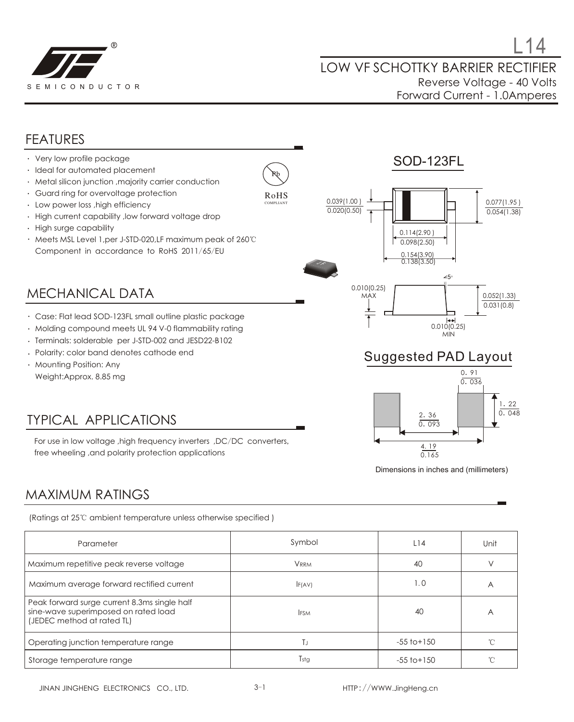

#### FEATURES

- Very low profile package
- · Ideal for automated placement
- Metal silicon junction ,majority carrier conduction
- Guard ring for overvoltage protection
- $\cdot$  Low power loss ,high efficiency
- High current capability ,low forward voltage drop  $\ddot{\phantom{a}}$
- High surge capability
- Meets MSL Level 1,per J-STD-020,LF maximum peak of 260℃ Component in accordance to RoHS 2011/65/EU

#### MECHANICAL DATA

- Case: Flat lead SOD-123FL small outline plastic package
- Molding compound meets UL 94 V-0 flammability rating
- Terminals: solderable per J-STD-002 and JESD22-B102
- Polarity: color band denotes cathode end
- Mounting Position: Any Weight:Approx. 8.85 mg

## TYPICAL APPLICATIONS

For use in low voltage ,high frequency inverters ,DC/DC converters, free wheeling ,and polarity protection applications





#### Suggested PAD Layout



Dimensions in inches and (millimeters)

#### MAXIMUM RATINGS

(Ratings at 25℃ ambient temperature unless otherwise specified )

| Parameter                                                                                                          | Symbol      | L14             | Unit |
|--------------------------------------------------------------------------------------------------------------------|-------------|-----------------|------|
| Maximum repetitive peak reverse voltage                                                                            | <b>VRRM</b> | 40              |      |
| Maximum average forward rectified current                                                                          | F(AV)       | 1.0             | A    |
| Peak forward surge current 8.3ms single half<br>sine-wave superimposed on rated load<br>(JEDEC method at rated TL) | <b>IFSM</b> | 40              | A    |
| Operating junction temperature range                                                                               | ΤJ          | $-55$ to $+150$ |      |
| Storage temperature range                                                                                          | Tstg        | $-55$ to $+150$ |      |

Pb RoHS COMPLIANT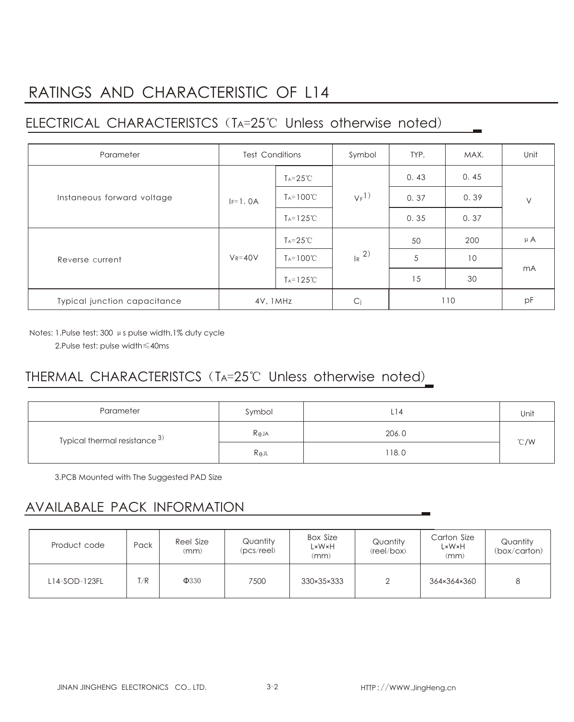# RATINGS AND CHARACTERISTIC OF L14

## ELECTRICAL CHARACTERISTCS(TA=25℃ Unless otherwise noted)

| Parameter                    | <b>Test Conditions</b> |                       | Symbol              | TYP. | MAX. | Unit    |
|------------------------------|------------------------|-----------------------|---------------------|------|------|---------|
| Instaneous forward voltage   |                        | $Ta = 25^{\circ}C$    | $V_F$ <sup>1)</sup> | 0.43 | 0.45 | $\vee$  |
|                              | $IF=1.0A$              | $T_A = 100^{\circ}C$  |                     | 0.37 | 0.39 |         |
|                              |                        | $T_A = 125^{\circ}C$  |                     | 0.35 | 0.37 |         |
| Reverse current              | $V_R = 40V$            | $T_A = 25^{\circ}C$   | $R^{2)}$            | 50   | 200  | $\mu$ A |
|                              |                        | $T_A = 100^{\circ}C$  |                     | 5    | 10   | mA      |
|                              |                        | $T_A = 125^{\circ}$ C |                     | 15   | 30   |         |
| Typical junction capacitance | 4V, 1MHz               |                       | C <sub>j</sub>      | 110  |      | pF      |

Notes: 1.Pulse test: 300 μs pulse width,1% duty cycle

2.Pulse test: pulse width≤40ms

## THERMAL CHARACTERISTCS (TA=25℃ Unless otherwise noted)

| Parameter                     | Symbol          | L14   | Unit           |  |
|-------------------------------|-----------------|-------|----------------|--|
| Typical thermal resistance 3) | $R_{\theta}$ JA | 206.0 | $^{\circ}$ C/W |  |
|                               | $R_{\theta}$ jl | 118.0 |                |  |

3.PCB Mounted with The Suggested PAD Size

#### AVAILABALE PACK INFORMATION

| Product code  | Pack | Reel Size<br>(mm) | Quantity<br>$(pcs$ /reel) | <b>Box Size</b><br>L×W×H<br>(mm) | Quantity<br>(reel/box) | Carton Size<br>L×W×H<br>(mm) | Quantity<br>(box/carton) |
|---------------|------|-------------------|---------------------------|----------------------------------|------------------------|------------------------------|--------------------------|
| L14-SOD-123FL | T/R  | $\Phi$ 330        | 7500                      | 330×35×333                       |                        | 364×364×360                  | 8                        |